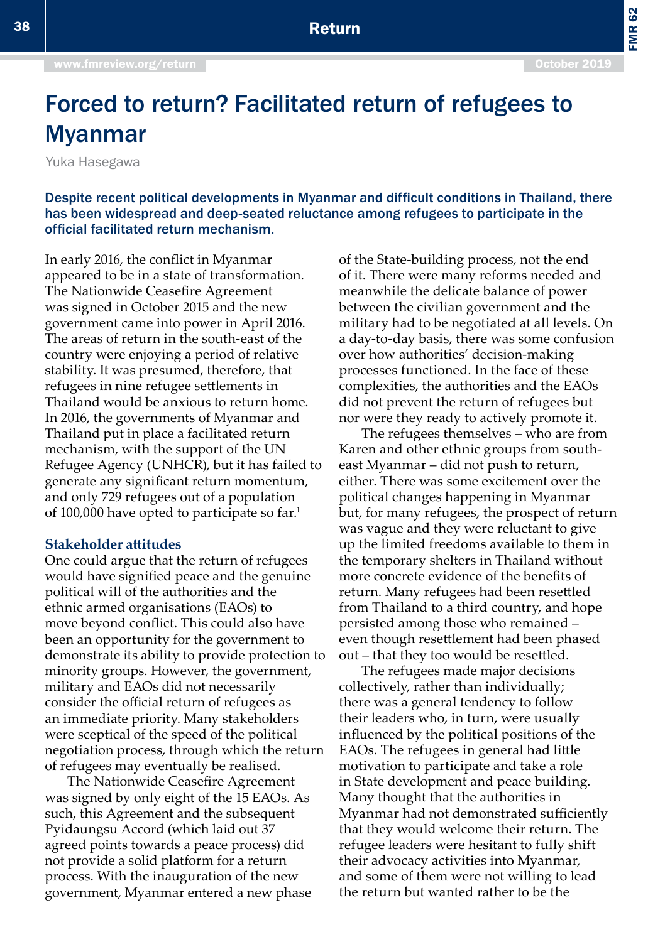FMR 62

# Forced to return? Facilitated return of refugees to Myanmar

Yuka Hasegawa

Despite recent political developments in Myanmar and difficult conditions in Thailand, there has been widespread and deep-seated reluctance among refugees to participate in the official facilitated return mechanism.

In early 2016, the conflict in Myanmar appeared to be in a state of transformation. The Nationwide Ceasefire Agreement was signed in October 2015 and the new government came into power in April 2016. The areas of return in the south-east of the country were enjoying a period of relative stability. It was presumed, therefore, that refugees in nine refugee settlements in Thailand would be anxious to return home. In 2016, the governments of Myanmar and Thailand put in place a facilitated return mechanism, with the support of the UN Refugee Agency (UNHCR), but it has failed to generate any significant return momentum, and only 729 refugees out of a population of 100,000 have opted to participate so far.1

#### **Stakeholder attitudes**

One could argue that the return of refugees would have signified peace and the genuine political will of the authorities and the ethnic armed organisations (EAOs) to move beyond conflict. This could also have been an opportunity for the government to demonstrate its ability to provide protection to minority groups. However, the government, military and EAOs did not necessarily consider the official return of refugees as an immediate priority. Many stakeholders were sceptical of the speed of the political negotiation process, through which the return of refugees may eventually be realised.

The Nationwide Ceasefire Agreement was signed by only eight of the 15 EAOs. As such, this Agreement and the subsequent Pyidaungsu Accord (which laid out 37 agreed points towards a peace process) did not provide a solid platform for a return process. With the inauguration of the new government, Myanmar entered a new phase of the State-building process, not the end of it. There were many reforms needed and meanwhile the delicate balance of power between the civilian government and the military had to be negotiated at all levels. On a day-to-day basis, there was some confusion over how authorities' decision-making processes functioned. In the face of these complexities, the authorities and the EAOs did not prevent the return of refugees but nor were they ready to actively promote it.

The refugees themselves – who are from Karen and other ethnic groups from southeast Myanmar – did not push to return, either. There was some excitement over the political changes happening in Myanmar but, for many refugees, the prospect of return was vague and they were reluctant to give up the limited freedoms available to them in the temporary shelters in Thailand without more concrete evidence of the benefits of return. Many refugees had been resettled from Thailand to a third country, and hope persisted among those who remained – even though resettlement had been phased out – that they too would be resettled.

The refugees made major decisions collectively, rather than individually; there was a general tendency to follow their leaders who, in turn, were usually influenced by the political positions of the EAOs. The refugees in general had little motivation to participate and take a role in State development and peace building. Many thought that the authorities in Myanmar had not demonstrated sufficiently that they would welcome their return. The refugee leaders were hesitant to fully shift their advocacy activities into Myanmar, and some of them were not willing to lead the return but wanted rather to be the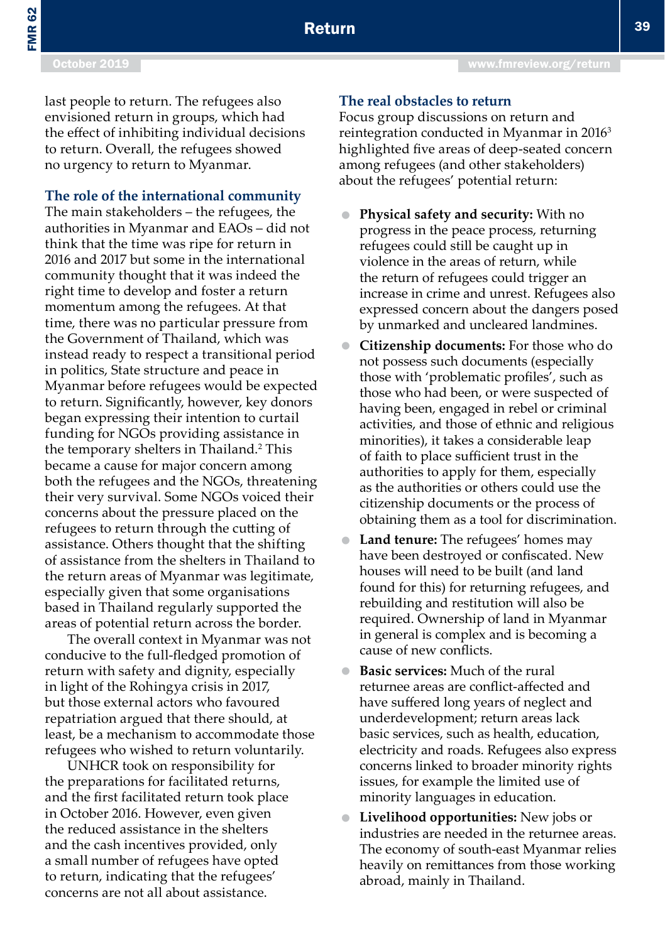FMR 62

last people to return. The refugees also envisioned return in groups, which had the effect of inhibiting individual decisions to return. Overall, the refugees showed no urgency to return to Myanmar.

#### **The role of the international community**

The main stakeholders – the refugees, the authorities in Myanmar and EAOs – did not think that the time was ripe for return in 2016 and 2017 but some in the international community thought that it was indeed the right time to develop and foster a return momentum among the refugees. At that time, there was no particular pressure from the Government of Thailand, which was instead ready to respect a transitional period in politics, State structure and peace in Myanmar before refugees would be expected to return. Significantly, however, key donors began expressing their intention to curtail funding for NGOs providing assistance in the temporary shelters in Thailand.2 This became a cause for major concern among both the refugees and the NGOs, threatening their very survival. Some NGOs voiced their concerns about the pressure placed on the refugees to return through the cutting of assistance. Others thought that the shifting of assistance from the shelters in Thailand to the return areas of Myanmar was legitimate, especially given that some organisations based in Thailand regularly supported the areas of potential return across the border.

The overall context in Myanmar was not conducive to the full-fledged promotion of return with safety and dignity, especially in light of the Rohingya crisis in 2017, but those external actors who favoured repatriation argued that there should, at least, be a mechanism to accommodate those refugees who wished to return voluntarily.

UNHCR took on responsibility for the preparations for facilitated returns, and the first facilitated return took place in October 2016. However, even given the reduced assistance in the shelters and the cash incentives provided, only a small number of refugees have opted to return, indicating that the refugees' concerns are not all about assistance.

### **The real obstacles to return**

Focus group discussions on return and reintegration conducted in Myanmar in 2016<sup>3</sup> highlighted five areas of deep-seated concern among refugees (and other stakeholders) about the refugees' potential return:

- **Physical safety and security:** With no progress in the peace process, returning refugees could still be caught up in violence in the areas of return, while the return of refugees could trigger an increase in crime and unrest. Refugees also expressed concern about the dangers posed by unmarked and uncleared landmines.
- **Citizenship documents:** For those who do not possess such documents (especially those with 'problematic profiles', such as those who had been, or were suspected of having been, engaged in rebel or criminal activities, and those of ethnic and religious minorities), it takes a considerable leap of faith to place sufficient trust in the authorities to apply for them, especially as the authorities or others could use the citizenship documents or the process of obtaining them as a tool for discrimination.
- **Land tenure:** The refugees' homes may have been destroyed or confiscated. New houses will need to be built (and land found for this) for returning refugees, and rebuilding and restitution will also be required. Ownership of land in Myanmar in general is complex and is becoming a cause of new conflicts.
- **Basic services:** Much of the rural returnee areas are conflict-affected and have suffered long years of neglect and underdevelopment; return areas lack basic services, such as health, education, electricity and roads. Refugees also express concerns linked to broader minority rights issues, for example the limited use of minority languages in education.
- **Livelihood opportunities:** New jobs or industries are needed in the returnee areas. The economy of south-east Myanmar relies heavily on remittances from those working abroad, mainly in Thailand.